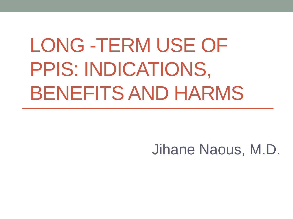# LONG -TERM USE OF PPIS: INDICATIONS, BENEFITS AND HARMS

#### Jihane Naous, M.D.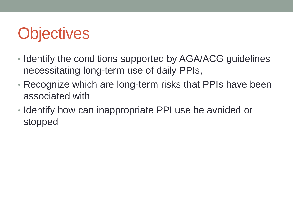# **Objectives**

- Identify the conditions supported by AGA/ACG guidelines necessitating long-term use of daily PPIs,
- Recognize which are long-term risks that PPIs have been associated with
- Identify how can inappropriate PPI use be avoided or stopped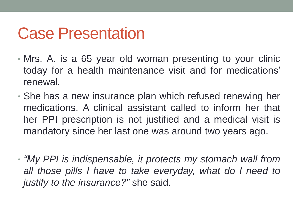#### Case Presentation

- Mrs. A. is a 65 year old woman presenting to your clinic today for a health maintenance visit and for medications' renewal.
- She has a new insurance plan which refused renewing her medications. A clinical assistant called to inform her that her PPI prescription is not justified and a medical visit is mandatory since her last one was around two years ago.
- *"My PPI is indispensable, it protects my stomach wall from all those pills I have to take everyday, what do I need to justify to the insurance?"* she said.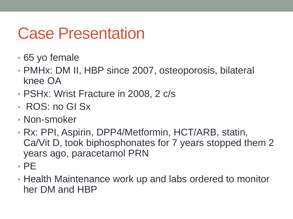#### Case Presentation

- 65 yo female
- PMHx: DM II, HBP since 2007, osteoporosis, bilateral knee OA
- PSHx: Wrist Fracture in 2008, 2 c/s
- ROS: no GI Sx
- Non-smoker
- Rx: PPI, Aspirin, DPP4/Metformin, HCT/ARB, statin, Ca/Vit D, took biphosphonates for 7 years stopped them 2 years ago, paracetamol PRN
- $\cdot$  PE
- Health Maintenance work up and labs ordered to monitor her DM and HBP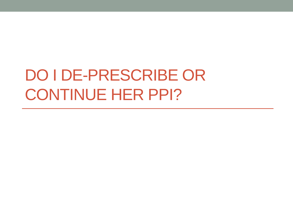### DO I DE-PRESCRIBE OR CONTINUE HER PPI?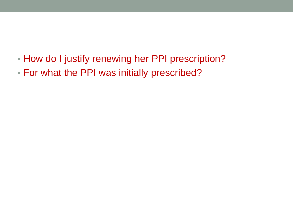- How do I justify renewing her PPI prescription?
- For what the PPI was initially prescribed?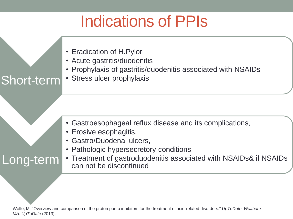#### Indications of PPIs

- Eradication of H.Pylori
- Acute gastritis/duodenitis
- Prophylaxis of gastritis/duodenitis associated with NSAIDs
- Stress ulcer prophylaxis

Short-term

- Gastroesophageal reflux disease and its complications,
- Erosive esophagitis,
- Gastro/Duodenal ulcers,
- Pathologic hypersecretory conditions
- Long-term • Treatment of gastroduodenitis associated with NSAIDs& if NSAIDs can not be discontinued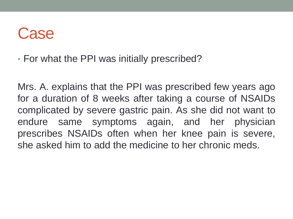#### Case

• For what the PPI was initially prescribed?

Mrs. A. explains that the PPI was prescribed few years ago for a duration of 8 weeks after taking a course of NSAIDs complicated by severe gastric pain. As she did not want to endure same symptoms again, and her physician prescribes NSAIDs often when her knee pain is severe, she asked him to add the medicine to her chronic meds.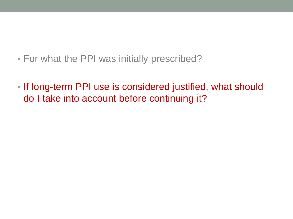- For what the PPI was initially prescribed?
- If long-term PPI use is considered justified, what should do I take into account before continuing it?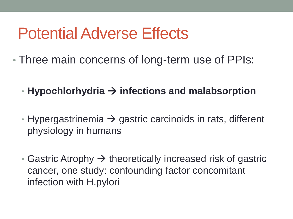#### Potential Adverse Effects

- Three main concerns of long-term use of PPIs:
	- **Hypochlorhydria infections and malabsorption**
	- Hypergastrinemia  $\rightarrow$  gastric carcinoids in rats, different physiology in humans
	- Gastric Atrophy  $\rightarrow$  theoretically increased risk of gastric cancer, one study: confounding factor concomitant infection with H.pylori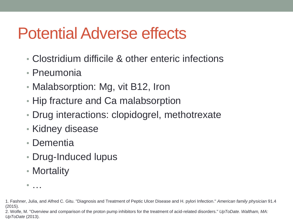#### Potential Adverse effects

- Clostridium difficile & other enteric infections
- Pneumonia
- Malabsorption: Mg, vit B12, Iron
- Hip fracture and Ca malabsorption
- Drug interactions: clopidogrel, methotrexate
- Kidney disease
- Dementia
- Drug-Induced lupus
- Mortality

• …

2. Wolfe, M. "Overview and comparison of the proton pump inhibitors for the treatment of acid-related disorders." *UpToDate. Waltham, MA: UpToDate* (2013).

<sup>1.</sup> Fashner, Julia, and Alfred C. Gitu. "Diagnosis and Treatment of Peptic Ulcer Disease and H. pylori Infection." *American family physician* 91.4 (2015).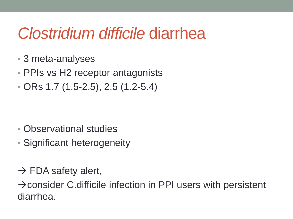#### *Clostridium difficile* diarrhea

- 3 meta-analyses
- PPIs vs H2 receptor antagonists
- ORs 1.7 (1.5-2.5), 2.5 (1.2-5.4)

- Observational studies
- Significant heterogeneity
- $\rightarrow$  FDA safety alert,

 $\rightarrow$  consider C.difficile infection in PPI users with persistent diarrhea.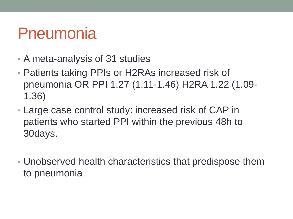#### Pneumonia

- A meta-analysis of 31 studies
- Patients taking PPIs or H2RAs increased risk of pneumonia OR PPI 1.27 (1.11-1.46) H2RA 1.22 (1.09- 1.36)
- Large case control study: increased risk of CAP in patients who started PPI within the previous 48h to 30days.
- Unobserved health characteristics that predispose them to pneumonia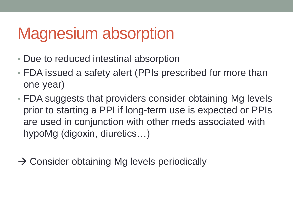#### Magnesium absorption

- Due to reduced intestinal absorption
- FDA issued a safety alert (PPIs prescribed for more than one year)
- FDA suggests that providers consider obtaining Mg levels prior to starting a PPI if long-term use is expected or PPIs are used in conjunction with other meds associated with hypoMg (digoxin, diuretics…)
- $\rightarrow$  Consider obtaining Mg levels periodically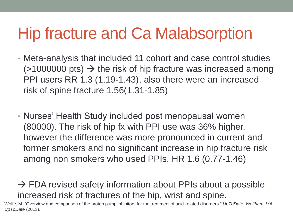#### Hip fracture and Ca Malabsorption

- Meta-analysis that included 11 cohort and case control studies  $($ >1000000 pts)  $\rightarrow$  the risk of hip fracture was increased among PPI users RR 1.3 (1.19-1.43), also there were an increased risk of spine fracture 1.56(1.31-1.85)
- Nurses' Health Study included post menopausal women (80000). The risk of hip fx with PPI use was 36% higher, however the difference was more pronounced in current and former smokers and no significant increase in hip fracture risk among non smokers who used PPIs. HR 1.6 (0.77-1.46)

#### $\rightarrow$  FDA revised safety information about PPIs about a possible increased risk of fractures of the hip, wrist and spine.

Wolfe, M. "Overview and comparison of the proton pump inhibitors for the treatment of acid-related disorders." *UpToDate. Waltham, MA: UpToDate* (2013).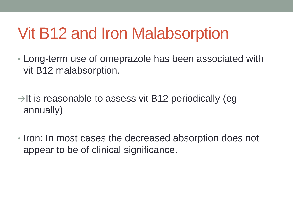#### Vit B12 and Iron Malabsorption

- Long-term use of omeprazole has been associated with vit B12 malabsorption.
- $\rightarrow$ It is reasonable to assess vit B12 periodically (eg annually)
- Iron: In most cases the decreased absorption does not appear to be of clinical significance.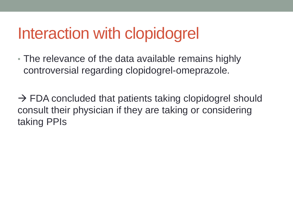#### Interaction with clopidogrel

• The relevance of the data available remains highly controversial regarding clopidogrel-omeprazole.

 $\rightarrow$  FDA concluded that patients taking clopidogrel should consult their physician if they are taking or considering taking PPIs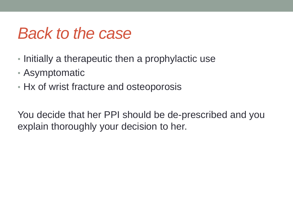#### *Back to the case*

- Initially a therapeutic then a prophylactic use
- Asymptomatic
- Hx of wrist fracture and osteoporosis

You decide that her PPI should be de-prescribed and you explain thoroughly your decision to her.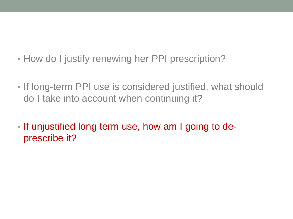- How do I justify renewing her PPI prescription?
- If long-term PPI use is considered justified, what should do I take into account when continuing it?
- If unjustified long term use, how am I going to deprescribe it?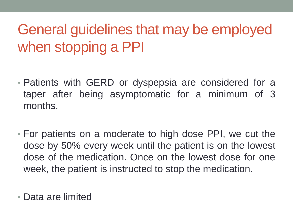#### General guidelines that may be employed when stopping a PPI

- Patients with GERD or dyspepsia are considered for a taper after being asymptomatic for a minimum of 3 months.
- For patients on a moderate to high dose PPI, we cut the dose by 50% every week until the patient is on the lowest dose of the medication. Once on the lowest dose for one week, the patient is instructed to stop the medication.
- Data are limited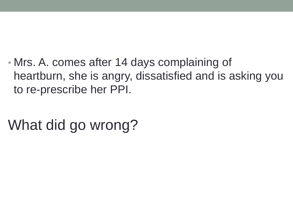- Mrs. A. comes after 14 days complaining of heartburn, she is angry, dissatisfied and is asking you to re-prescribe her PPI.
- What did go wrong?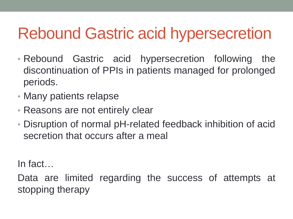# Rebound Gastric acid hypersecretion

- Rebound Gastric acid hypersecretion following the discontinuation of PPIs in patients managed for prolonged periods.
- Many patients relapse
- Reasons are not entirely clear
- Disruption of normal pH-related feedback inhibition of acid secretion that occurs after a meal

In fact…

Data are limited regarding the success of attempts at stopping therapy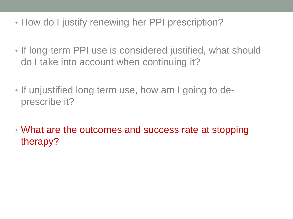- How do I justify renewing her PPI prescription?
- If long-term PPI use is considered justified, what should do I take into account when continuing it?
- If unjustified long term use, how am I going to deprescribe it?
- What are the outcomes and success rate at stopping therapy?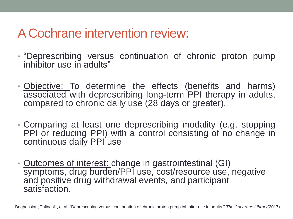#### A Cochrane intervention review:

- "Deprescribing versus continuation of chronic proton pump inhibitor use in adults"
- Objective: To determine the effects (benefits and harms) associated with deprescribing long-term PPI therapy in adults, compared to chronic daily use (28 days or greater).
- Comparing at least one deprescribing modality (e.g. stopping PPI or reducing PPI) with a control consisting of no change in continuous daily PPI use
- Outcomes of interest: change in gastrointestinal (GI) symptoms, drug burden/PPI use, cost/resource use, negative and positive drug withdrawal events, and participant satisfaction.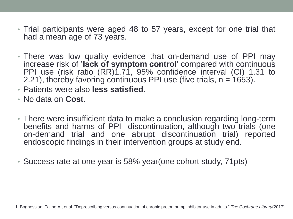- Trial participants were aged 48 to 57 years, except for one trial that had a mean age of 73 years.
- There was low quality evidence that on-demand use of PPI may increase risk of **'lack of symptom control**' compared with continuous PPI use (risk ratio (RR)1.71, 95% confidence interval (CI) 1.31 to 2.21), thereby favoring continuous PPI use (five trials,  $n = 1653$ ).
- Patients were also **less satisfied**.
- No data on **Cost**.
- There were insufficient data to make a conclusion regarding long-term benefits and harms of PPI discontinuation, although two trials (one on-demand trial and one abrupt discontinuation trial) reported endoscopic findings in their intervention groups at study end.
- Success rate at one year is 58% year(one cohort study, 71pts)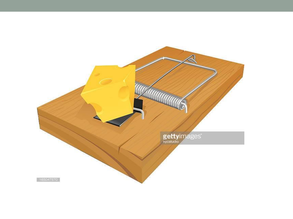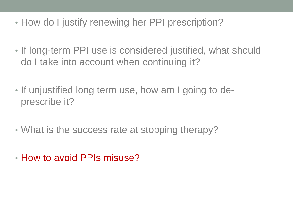- How do I justify renewing her PPI prescription?
- If long-term PPI use is considered justified, what should do I take into account when continuing it?
- If unjustified long term use, how am I going to deprescribe it?
- What is the success rate at stopping therapy?
- How to avoid PPIs misuse?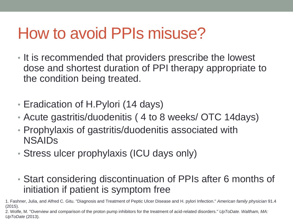#### How to avoid PPIs misuse?

- It is recommended that providers prescribe the lowest dose and shortest duration of PPI therapy appropriate to the condition being treated.
- Eradication of H.Pylori (14 days)
- Acute gastritis/duodenitis ( 4 to 8 weeks/ OTC 14days)
- Prophylaxis of gastritis/duodenitis associated with NSAIDs
- Stress ulcer prophylaxis (ICU days only)
- Start considering discontinuation of PPIs after 6 months of initiation if patient is symptom free

1. Fashner, Julia, and Alfred C. Gitu. "Diagnosis and Treatment of Peptic Ulcer Disease and H. pylori Infection." *American family physician* 91.4 (2015).

2. Wolfe, M. "Overview and comparison of the proton pump inhibitors for the treatment of acid-related disorders." *UpToDate. Waltham, MA: UpToDate* (2013).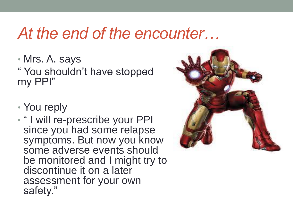#### *At the end of the encounter…*

- Mrs. A. says " You shouldn't have stopped my PPI"
- You reply
- " I will re-prescribe your PPI since you had some relapse symptoms. But now you know some adverse events should be monitored and I might try to discontinue it on a later assessment for your own safety."

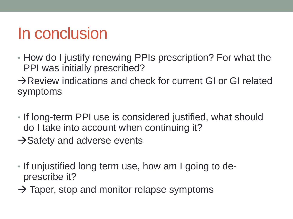#### In conclusion

- How do I justify renewing PPIs prescription? For what the PPI was initially prescribed?
- $\rightarrow$ Review indications and check for current GI or GI related symptoms
- If long-term PPI use is considered justified, what should do I take into account when continuing it?
- $\rightarrow$  Safety and adverse events
- If unjustified long term use, how am I going to deprescribe it?
- $\rightarrow$  Taper, stop and monitor relapse symptoms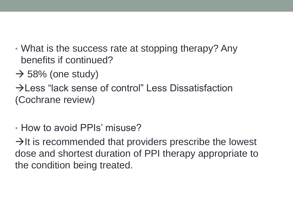- What is the success rate at stopping therapy? Any benefits if continued?
- $\rightarrow$  58% (one study)

 $\rightarrow$  Less "lack sense of control" Less Dissatisfaction (Cochrane review)

• How to avoid PPIs' misuse?

 $\rightarrow$ It is recommended that providers prescribe the lowest dose and shortest duration of PPI therapy appropriate to the condition being treated.